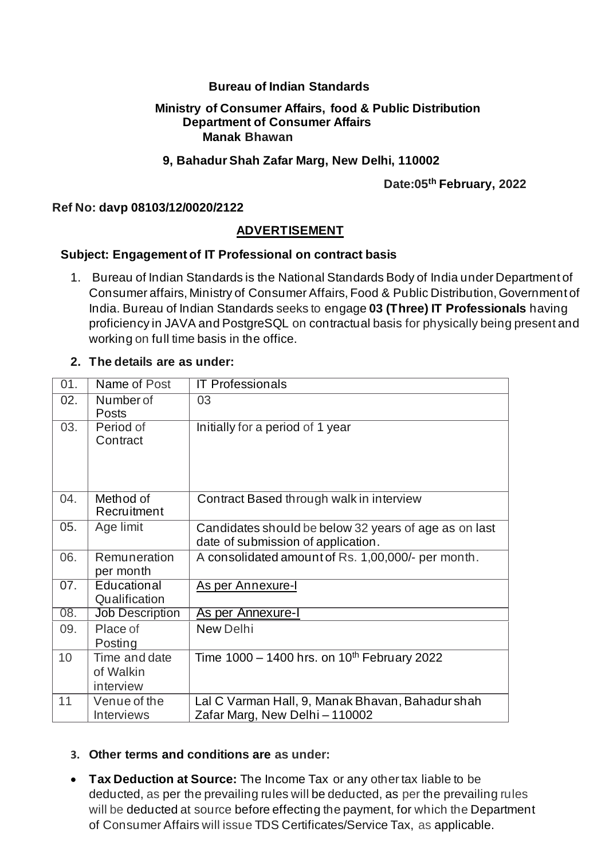## **Bureau of Indian Standards**

#### **Ministry of Consumer Affairs, food & Public Distribution Department of Consumer Affairs Manak Bhawan**

### **9, Bahadur Shah Zafar Marg, New Delhi, 110002**

 **Date:05th February, 2022**

## **Ref No: davp 08103/12/0020/2122**

## **ADVERTISEMENT**

## **Subject: Engagement of IT Professional on contract basis**

1. Bureau of Indian Standards is the National Standards Body of India under Department of Consumer affairs, Ministry of Consumer Affairs, Food & Public Distribution, Government of India. Bureau of Indian Standards seeks to engage **03 (Three) IT Professionals** having proficiency in JAVA and PostgreSQL on contractual basis for physically being present and working on full time basis in the office.

#### **2. The details are as under:**

| 01. | Name of Post                            | <b>IT Professionals</b>                                                                     |
|-----|-----------------------------------------|---------------------------------------------------------------------------------------------|
| 02. | Number of<br>Posts                      | 03                                                                                          |
| 03. | Period of<br>Contract                   | Initially for a period of 1 year                                                            |
| 04. | Method of<br>Recruitment                | Contract Based through walk in interview                                                    |
| 05. | Age limit                               | Candidates should be below 32 years of age as on last<br>date of submission of application. |
| 06. | Remuneration<br>per month               | A consolidated amount of Rs. 1,00,000/- per month.                                          |
| 07. | Educational<br>Qualification            | As per Annexure-I                                                                           |
| 08. | <b>Job Description</b>                  | As per Annexure-I                                                                           |
| 09. | Place of<br>Posting                     | <b>New Delhi</b>                                                                            |
| 10  | Time and date<br>of Walkin<br>interview | Time $1000 - 1400$ hrs. on $10^{th}$ February 2022                                          |
| 11  | Venue of the<br><b>Interviews</b>       | Lal C Varman Hall, 9, Manak Bhavan, Bahadur shah<br>Zafar Marg, New Delhi-110002            |

# **3. Other terms and conditions are as under:**

• **Tax Deduction at Source:** The Income Tax or any other tax liable to be deducted, as per the prevailing rules will be deducted, as per the prevailing rules will be deducted at source before effecting the payment, for which the Department of Consumer Affairs will issue TDS Certificates/Service Tax, as applicable.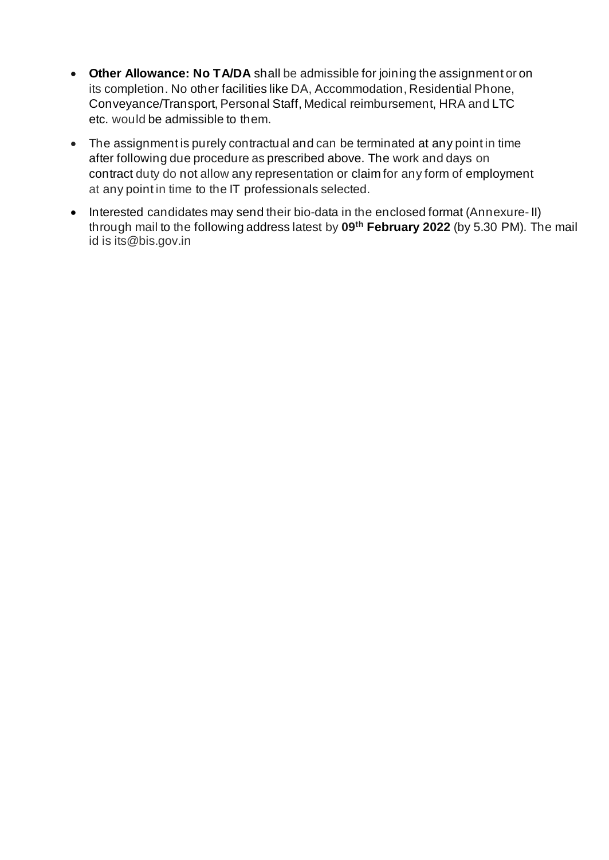- **Other Allowance: No TA/DA** shall be admissible for joining the assignment or on its completion. No other facilities like DA, Accommodation, Residential Phone, Conveyance/Transport, Personal Staff, Medical reimbursement, HRA and LTC etc. would be admissible to them.
- The assignment is purely contractual and can be terminated at any point in time after following due procedure as prescribed above. The work and days on contract duty do not allow any representation or claim for any form of employment at any point in time to the IT professionals selected.
- Interested candidates may send their bio-data in the enclosed format (Annexure- II) through mail to the following address latest by **09th February 2022** (by 5.30 PM). The mail id is its@bis.gov.in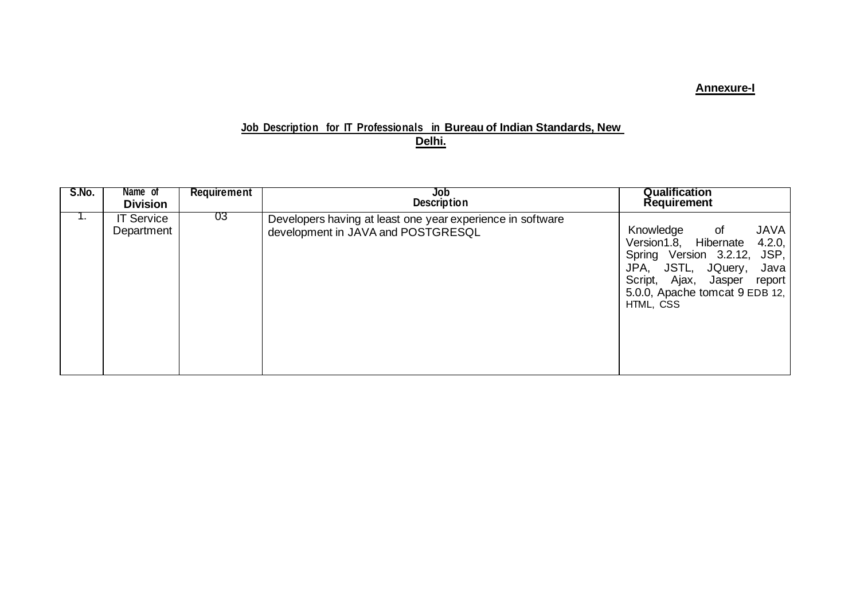## **Annexure-I**

### **Job Description for IT Professionals in Bureau of Indian Standards, New Delhi.**

| S.No. | Name of<br><b>Division</b>      | <b>Requirement</b> | Job<br><b>Description</b>                                                                        | <b>Qualification</b><br><b>Requirement</b>                                                                                                                                                                           |
|-------|---------------------------------|--------------------|--------------------------------------------------------------------------------------------------|----------------------------------------------------------------------------------------------------------------------------------------------------------------------------------------------------------------------|
| ι.    | <b>IT Service</b><br>Department | 03                 | Developers having at least one year experience in software<br>development in JAVA and POSTGRESQL | <b>JAVA</b><br>Knowledge<br>$\circ$ of<br>Version1.8, Hibernate<br>4.2.0,<br>Spring Version 3.2.12, JSP,<br>JPA, JSTL, JQuery, Java<br>Script, Ajax, Jasper<br>report<br>5.0.0, Apache tomcat 9 EDB 12,<br>HTML, CSS |